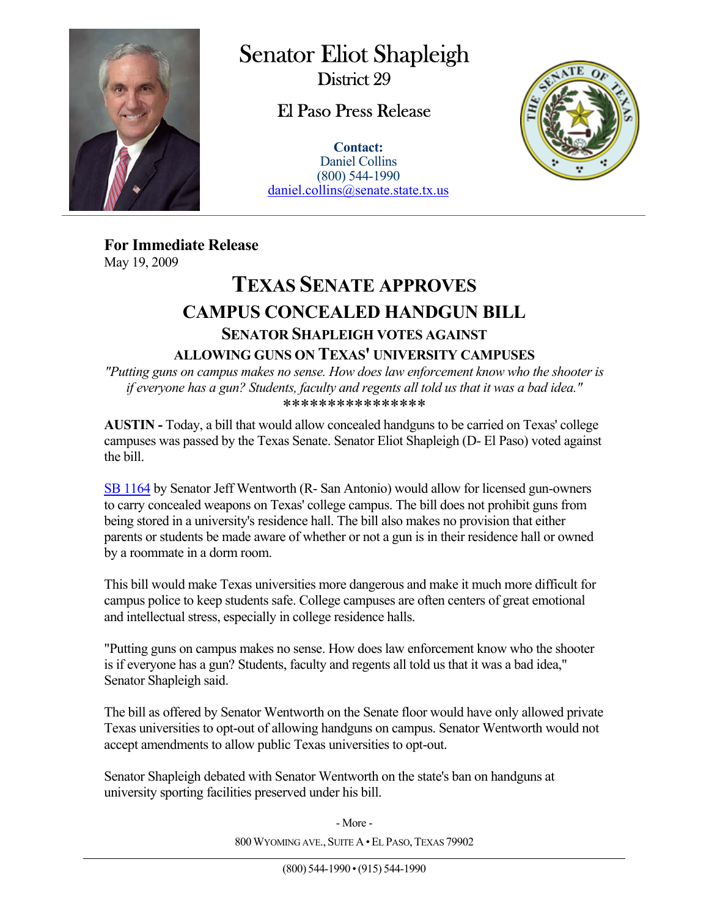

 $\overline{a}$ 

## Senator Eliot Shapleigh

District 29

## El Paso Press Release

**Contact:** Daniel Collins (800) 544-1990 daniel.collins@senate.state.tx.us



**For Immediate Release**  May 19, 2009

## **TEXAS SENATE APPROVES CAMPUS CONCEALED HANDGUN BILL SENATOR SHAPLEIGH VOTES AGAINST ALLOWING GUNS ON TEXAS' UNIVERSITY CAMPUSES**

*"Putting guns on campus makes no sense. How does law enforcement know who the shooter is if everyone has a gun? Students, faculty and regents all told us that it was a bad idea."*  \*\*\*\*\*\*\*\*\*\*\*\*\*\*\*\*

**AUSTIN -** Today, a bill that would allow concealed handguns to be carried on Texas' college campuses was passed by the Texas Senate. Senator Eliot Shapleigh (D- El Paso) voted against the bill.

SB 1164 by Senator Jeff Wentworth (R- San Antonio) would allow for licensed gun-owners to carry concealed weapons on Texas' college campus. The bill does not prohibit guns from being stored in a university's residence hall. The bill also makes no provision that either parents or students be made aware of whether or not a gun is in their residence hall or owned by a roommate in a dorm room.

This bill would make Texas universities more dangerous and make it much more difficult for campus police to keep students safe. College campuses are often centers of great emotional and intellectual stress, especially in college residence halls.

"Putting guns on campus makes no sense. How does law enforcement know who the shooter is if everyone has a gun? Students, faculty and regents all told us that it was a bad idea," Senator Shapleigh said.

The bill as offered by Senator Wentworth on the Senate floor would have only allowed private Texas universities to opt-out of allowing handguns on campus. Senator Wentworth would not accept amendments to allow public Texas universities to opt-out.

Senator Shapleigh debated with Senator Wentworth on the state's ban on handguns at university sporting facilities preserved under his bill.

> 800 WYOMING AVE., SUITE A · EL PASO, TEXAS 79902 - More -